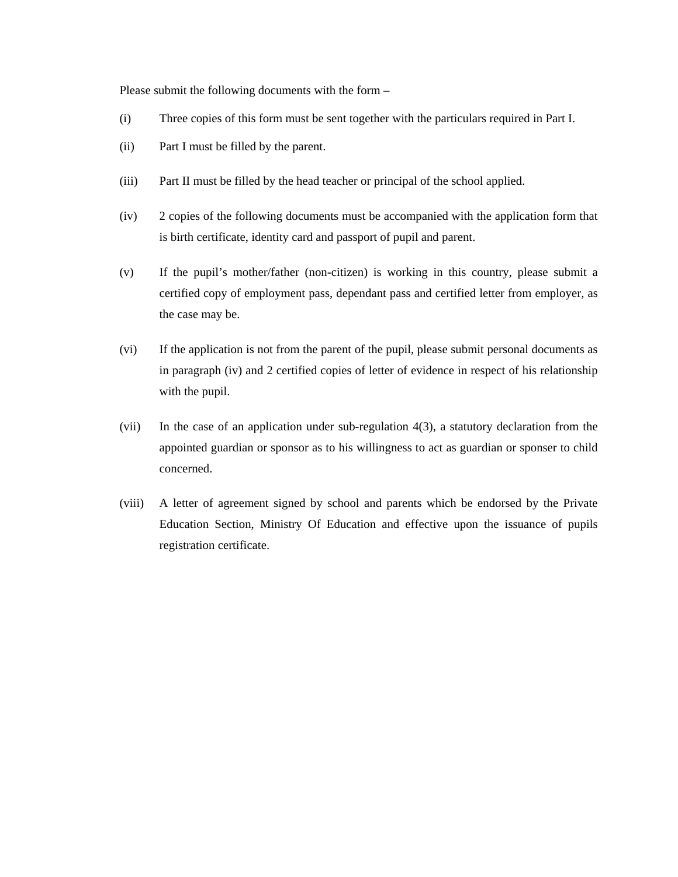Please submit the following documents with the form –

- (i) Three copies of this form must be sent together with the particulars required in Part I.
- (ii) Part I must be filled by the parent.
- (iii) Part II must be filled by the head teacher or principal of the school applied.
- (iv) 2 copies of the following documents must be accompanied with the application form that is birth certificate, identity card and passport of pupil and parent.
- (v) If the pupil's mother/father (non-citizen) is working in this country, please submit a certified copy of employment pass, dependant pass and certified letter from employer, as the case may be.
- (vi) If the application is not from the parent of the pupil, please submit personal documents as in paragraph (iv) and 2 certified copies of letter of evidence in respect of his relationship with the pupil.
- (vii) In the case of an application under sub-regulation 4(3), a statutory declaration from the appointed guardian or sponsor as to his willingness to act as guardian or sponser to child concerned.
- (viii) A letter of agreement signed by school and parents which be endorsed by the Private Education Section, Ministry Of Education and effective upon the issuance of pupils registration certificate.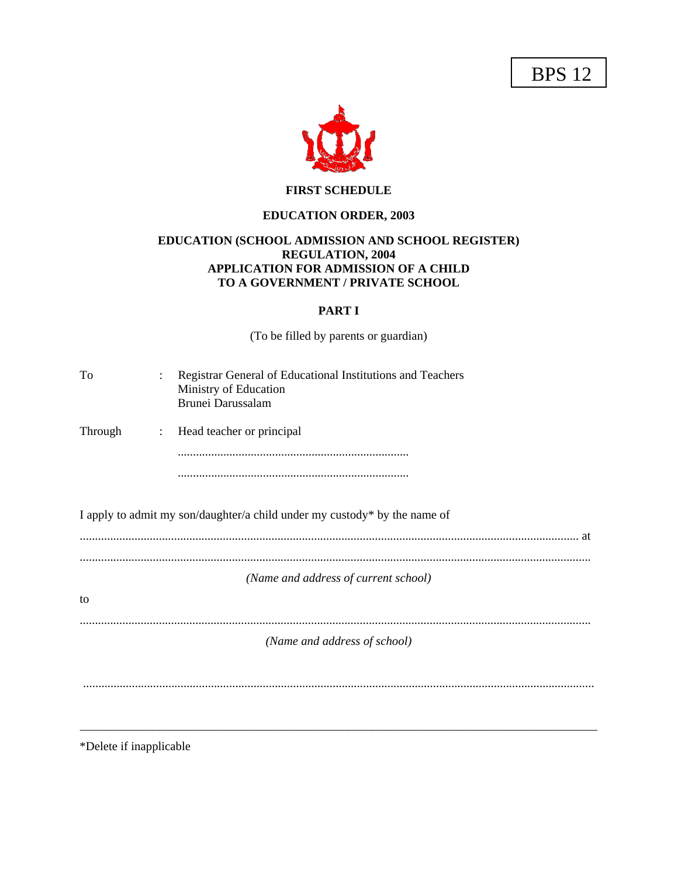BPS 12



## **FIRST SCHEDULE**

# **EDUCATION ORDER, 2003**

### **EDUCATION (SCHOOL ADMISSION AND SCHOOL REGISTER) REGULATION, 2004 APPLICATION FOR ADMISSION OF A CHILD TO A GOVERNMENT / PRIVATE SCHOOL**

## **PART I**

(To be filled by parents or guardian)

| To<br>$\ddot{\cdot}$      | Registrar General of Educational Institutions and Teachers<br>Ministry of Education<br>Brunei Darussalam |
|---------------------------|----------------------------------------------------------------------------------------------------------|
| Through<br>$\ddot{\cdot}$ | Head teacher or principal                                                                                |
|                           |                                                                                                          |
|                           |                                                                                                          |
|                           | I apply to admit my son/daughter/a child under my custody* by the name of                                |
|                           |                                                                                                          |
|                           | (Name and address of current school)                                                                     |
| to                        |                                                                                                          |
|                           | (Name and address of school)                                                                             |
|                           |                                                                                                          |
|                           |                                                                                                          |
| *Delete if inapplicable   |                                                                                                          |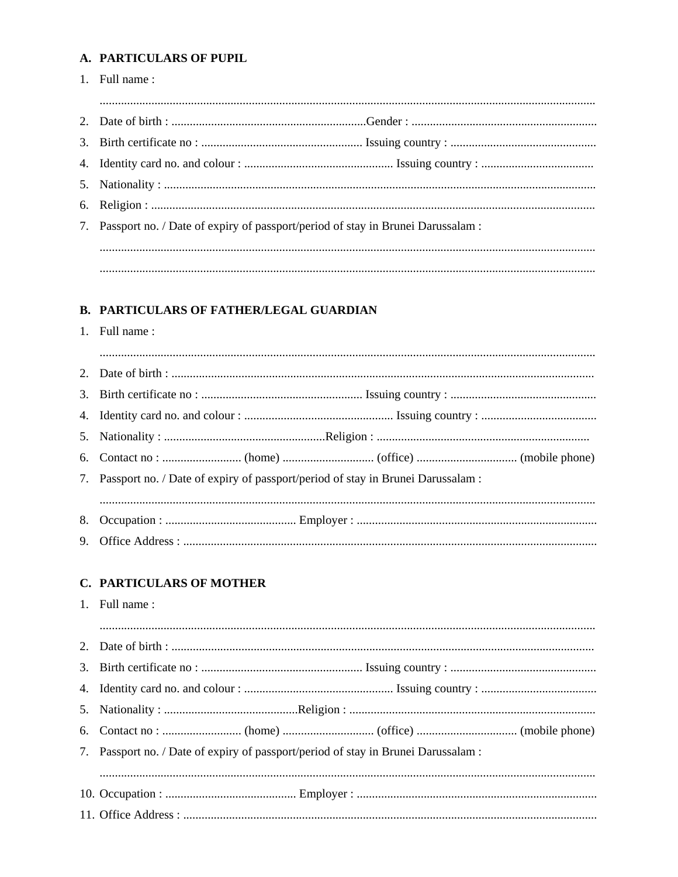# A. PARTICULARS OF PUPIL

| 1. Full name:                                                                      |  |
|------------------------------------------------------------------------------------|--|
|                                                                                    |  |
|                                                                                    |  |
|                                                                                    |  |
|                                                                                    |  |
|                                                                                    |  |
|                                                                                    |  |
| 7. Passport no. / Date of expiry of passport/period of stay in Brunei Darussalam : |  |
|                                                                                    |  |
|                                                                                    |  |
|                                                                                    |  |

# **B. PARTICULARS OF FATHER/LEGAL GUARDIAN**

1. Full name:

| 7. Passport no. / Date of expiry of passport/period of stay in Brunei Darussalam : |  |
|------------------------------------------------------------------------------------|--|
|                                                                                    |  |
|                                                                                    |  |
|                                                                                    |  |

#### **C. PARTICULARS OF MOTHER**

1. Full name:

| 7. Passport no. / Date of expiry of passport/period of stay in Brunei Darussalam : |  |  |
|------------------------------------------------------------------------------------|--|--|
|                                                                                    |  |  |
|                                                                                    |  |  |
|                                                                                    |  |  |
|                                                                                    |  |  |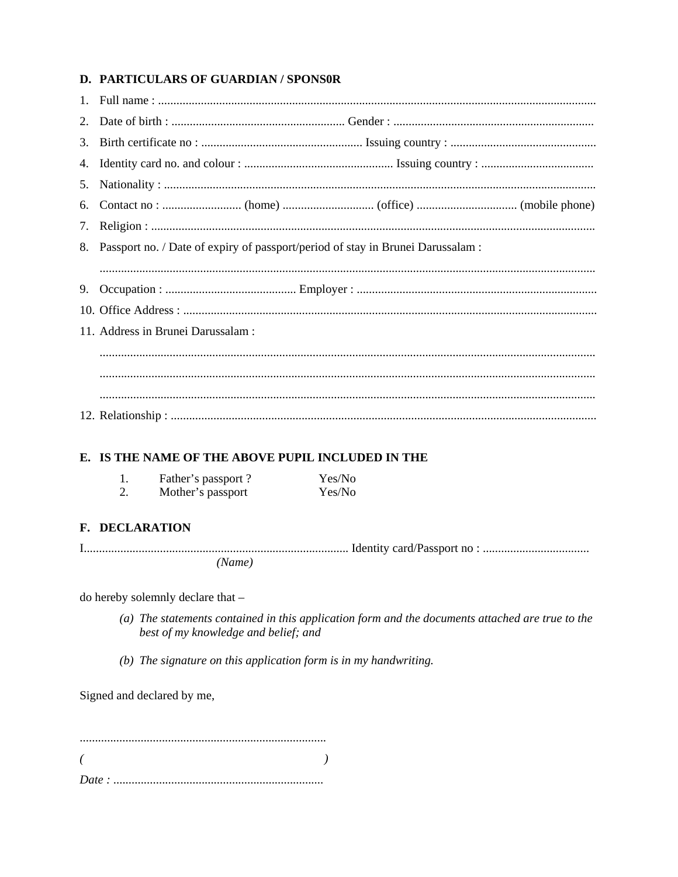# D. PARTICULARS OF GUARDIAN / SPONSOR

| 8. Passport no. / Date of expiry of passport/period of stay in Brunei Darussalam : |  |
|------------------------------------------------------------------------------------|--|
|                                                                                    |  |
|                                                                                    |  |
|                                                                                    |  |
| 11. Address in Brunei Darussalam :                                                 |  |
|                                                                                    |  |
|                                                                                    |  |
|                                                                                    |  |
|                                                                                    |  |

## E. IS THE NAME OF THE ABOVE PUPIL INCLUDED IN THE

| Father's passport? | Yes/No |
|--------------------|--------|
| Mother's passport  | Yes/No |

## F. DECLARATION

 $(Name)$ 

do hereby solemnly declare that -

- (a) The statements contained in this application form and the documents attached are true to the best of my knowledge and belief; and
- (b) The signature on this application form is in my handwriting.

Signed and declared by me,

 $\left($  $\rightarrow$